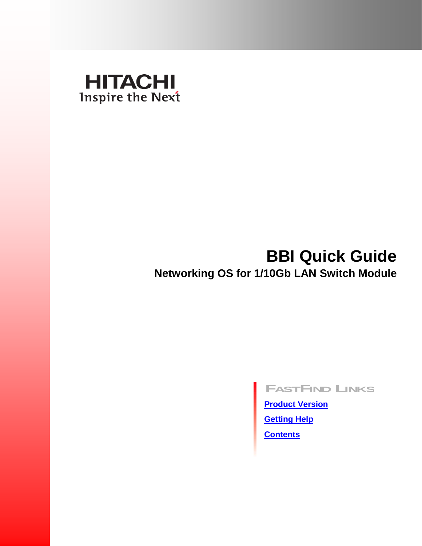

## **BBI Quick Guide Networking OS for 1/10Gb LAN Switch Module**

**[Product](#page-5-0) Version FASTFIND LINKS**

**[Getting Help](#page-7-0) [Contents](#page-2-0)**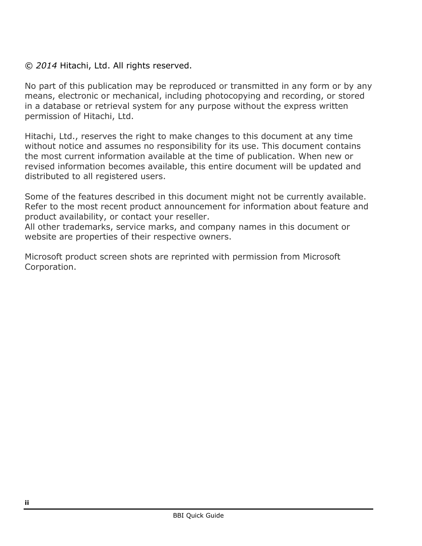#### © *2014* Hitachi, Ltd. All rights reserved.

No part of this publication may be reproduced or transmitted in any form or by any means, electronic or mechanical, including photocopying and recording, or stored in a database or retrieval system for any purpose without the express written permission of Hitachi, Ltd.

Hitachi, Ltd., reserves the right to make changes to this document at any time without notice and assumes no responsibility for its use. This document contains the most current information available at the time of publication. When new or revised information becomes available, this entire document will be updated and distributed to all registered users.

Some of the features described in this document might not be currently available. Refer to the most recent product announcement for information about feature and product availability, or contact your reseller.

All other trademarks, service marks, and company names in this document or website are properties of their respective owners.

Microsoft product screen shots are reprinted with permission from Microsoft Corporation.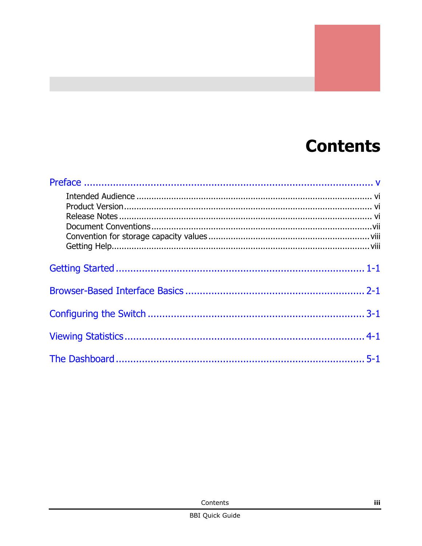## **Contents**

<span id="page-2-0"></span>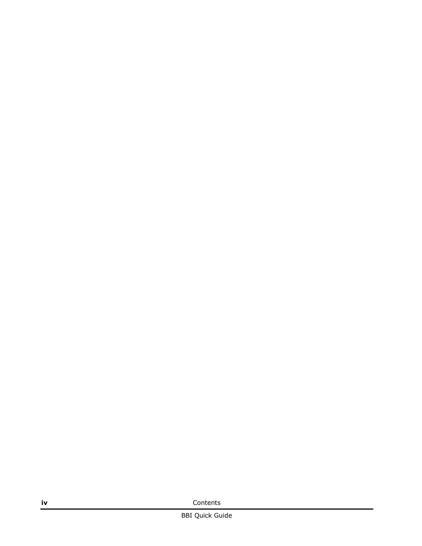**iv** Contents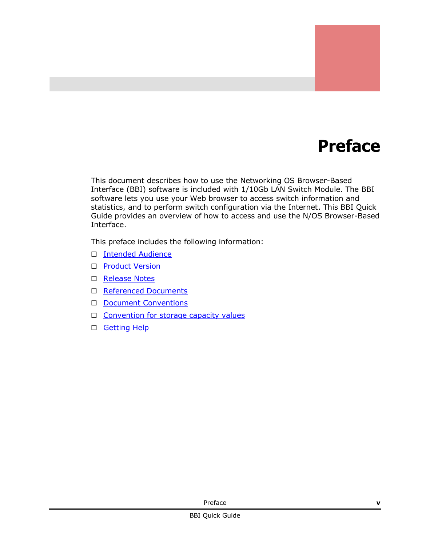## **Preface**

<span id="page-4-0"></span>This document describes how to use the Networking OS Browser-Based Interface (BBI) software is included with 1/10Gb LAN Switch Module. The BBI software lets you use your Web browser to access switch information and statistics, and to perform switch configuration via the Internet. This BBI Quick Guide provides an overview of how to access and use the N/OS Browser-Based Interface.

This preface includes the following information:

- □ [Intended Audience](#page-5-1)
- □ [Product Version](#page-5-0)
- □ [Release Notes](#page-5-2)
- D Referenced Documents
- D [Document Conventions](#page-6-0)
- Convention for [storage capacity values](#page-7-1)
- □ [Getting Help](#page-7-0)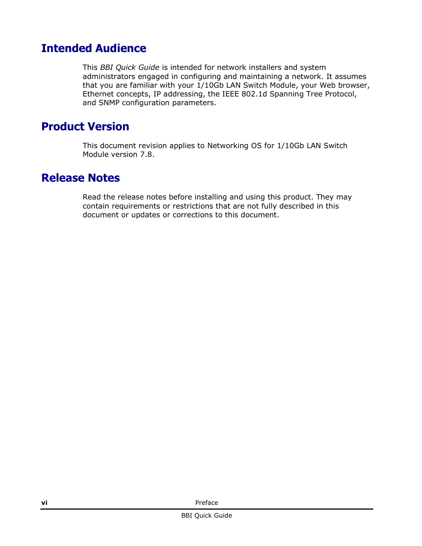## <span id="page-5-1"></span>**Intended Audience**

This *BBI Quick Guide* is intended for network installers and system administrators engaged in configuring and maintaining a network. It assumes that you are familiar with your 1/10Gb LAN Switch Module, your Web browser, Ethernet concepts, IP addressing, the IEEE 802.1d Spanning Tree Protocol, and SNMP configuration parameters.

## <span id="page-5-0"></span>**Product Version**

This document revision applies to Networking OS for 1/10Gb LAN Switch Module version 7.8.

## <span id="page-5-2"></span>**Release Notes**

Read the release notes before installing and using this product. They may contain requirements or restrictions that are not fully described in this document or updates or corrections to this document.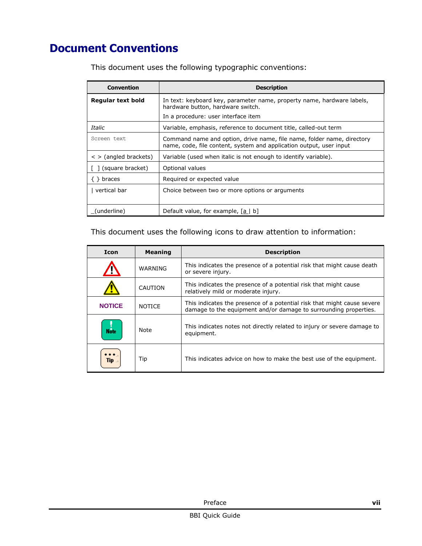## <span id="page-6-0"></span>**Document Conventions**

This document uses the following typographic conventions:

| <b>Convention</b>             | <b>Description</b>                                                                                                                            |  |  |  |  |
|-------------------------------|-----------------------------------------------------------------------------------------------------------------------------------------------|--|--|--|--|
| <b>Regular text bold</b>      | In text: keyboard key, parameter name, property name, hardware labels,<br>hardware button, hardware switch.                                   |  |  |  |  |
|                               | In a procedure: user interface item                                                                                                           |  |  |  |  |
| <b>Italic</b>                 | Variable, emphasis, reference to document title, called-out term                                                                              |  |  |  |  |
| Screen text                   | Command name and option, drive name, file name, folder name, directory<br>name, code, file content, system and application output, user input |  |  |  |  |
| $\langle$ > (angled brackets) | Variable (used when italic is not enough to identify variable).                                                                               |  |  |  |  |
| [1] (square bracket)          | Optional values                                                                                                                               |  |  |  |  |
| $\{ \}$ braces                | Required or expected value                                                                                                                    |  |  |  |  |
| vertical bar                  | Choice between two or more options or arguments                                                                                               |  |  |  |  |
| underline)                    | Default value, for example, $[a   b]$                                                                                                         |  |  |  |  |

This document uses the following icons to draw attention to information:

| <b>Icon</b>   | <b>Meaning</b> | <b>Description</b>                                                                                                                          |  |  |  |
|---------------|----------------|---------------------------------------------------------------------------------------------------------------------------------------------|--|--|--|
|               | WARNING        | This indicates the presence of a potential risk that might cause death<br>or severe injury.                                                 |  |  |  |
|               | CAUTION        | This indicates the presence of a potential risk that might cause<br>relatively mild or moderate injury.                                     |  |  |  |
| <b>NOTICE</b> | <b>NOTICE</b>  | This indicates the presence of a potential risk that might cause severe<br>damage to the equipment and/or damage to surrounding properties. |  |  |  |
| <b>Note</b>   | Note           | This indicates notes not directly related to injury or severe damage to<br>equipment.                                                       |  |  |  |
| lıd           | Tip            | This indicates advice on how to make the best use of the equipment.                                                                         |  |  |  |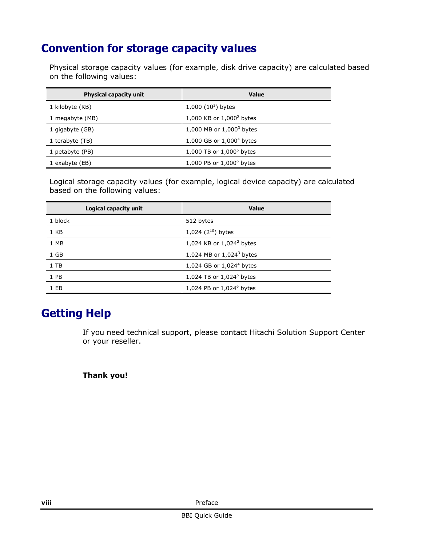## <span id="page-7-1"></span>**Convention for storage capacity values**

Physical storage capacity values (for example, disk drive capacity) are calculated based on the following values:

| <b>Physical capacity unit</b> | <b>Value</b>                         |
|-------------------------------|--------------------------------------|
| 1 kilobyte (KB)               | $1,000(10^3)$ bytes                  |
| 1 megabyte (MB)               | 1,000 KB or $1,000^2$ bytes          |
| 1 gigabyte (GB)               | 1,000 MB or $1,000^3$ bytes          |
| 1 terabyte (TB)               | 1,000 GB or 1,000 <sup>4</sup> bytes |
| 1 petabyte (PB)               | 1,000 TB or 1,000 <sup>5</sup> bytes |
| 1 exabyte (EB)                | 1,000 PB or 1,000 <sup>6</sup> bytes |

Logical storage capacity values (for example, logical device capacity) are calculated based on the following values:

| Logical capacity unit | <b>Value</b>                         |
|-----------------------|--------------------------------------|
| 1 block               | 512 bytes                            |
| 1 KB                  | 1,024 $(2^{10})$ bytes               |
| 1 MB                  | 1,024 KB or 1,024 <sup>2</sup> bytes |
| 1 GB                  | 1,024 MB or $1,024^3$ bytes          |
| $1$ TB                | 1,024 GB or 1,024 <sup>4</sup> bytes |
| $1$ PB                | 1,024 TB or 1,024 <sup>5</sup> bytes |
| $1$ FB                | 1,024 PB or 1,024 <sup>6</sup> bytes |

## <span id="page-7-0"></span>**Getting Help**

If you need technical support, please contact Hitachi Solution Support Center or your reseller.

#### **Thank you!**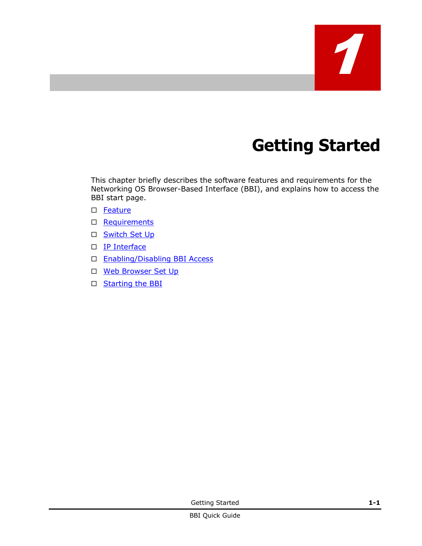## **Getting Started**

1

<span id="page-8-0"></span>This chapter briefly describes the software features and requirements for the Networking OS Browser-Based Interface (BBI), and explains how to access the BBI start page.

- D [Feature](#page-9-0)
- D [Requirements](#page-9-1)
- □ [Switch Set Up](#page-9-2)
- □ [IP Interface](#page-9-3)
- □ [Enabling/Disabling BBI Access](#page-10-0)
- □ [Web Browser Set Up](#page-10-1)
- □ [Starting the BBI](#page-10-2)

Getting Started **1-1**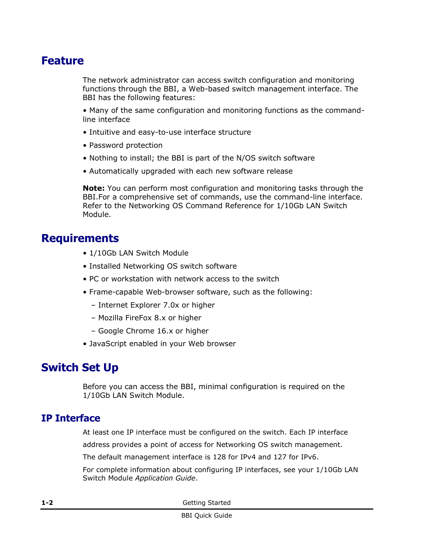### <span id="page-9-0"></span>**Feature**

The network administrator can access switch configuration and monitoring functions through the BBI, a Web-based switch management interface. The BBI has the following features:

• Many of the same configuration and monitoring functions as the commandline interface

- Intuitive and easy-to-use interface structure
- Password protection
- Nothing to install; the BBI is part of the N/OS switch software
- Automatically upgraded with each new software release

**Note:** You can perform most configuration and monitoring tasks through the BBI.For a comprehensive set of commands, use the command-line interface. Refer to the Networking OS Command Reference for 1/10Gb LAN Switch Module.

### <span id="page-9-1"></span>**Requirements**

- 1/10Gb LAN Switch Module
- Installed Networking OS switch software
- PC or workstation with network access to the switch
- Frame-capable Web-browser software, such as the following:
	- Internet Explorer 7.0x or higher
	- Mozilla FireFox 8.x or higher
	- Google Chrome 16.x or higher
- JavaScript enabled in your Web browser

## <span id="page-9-2"></span>**Switch Set Up**

Before you can access the BBI, minimal configuration is required on the 1/10Gb LAN Switch Module.

#### <span id="page-9-3"></span>**IP Interface**

At least one IP interface must be configured on the switch. Each IP interface

address provides a point of access for Networking OS switch management.

The default management interface is 128 for IPv4 and 127 for IPv6.

For complete information about configuring IP interfaces, see your 1/10Gb LAN Switch Module *Application Guide*.

**1-2** Getting Started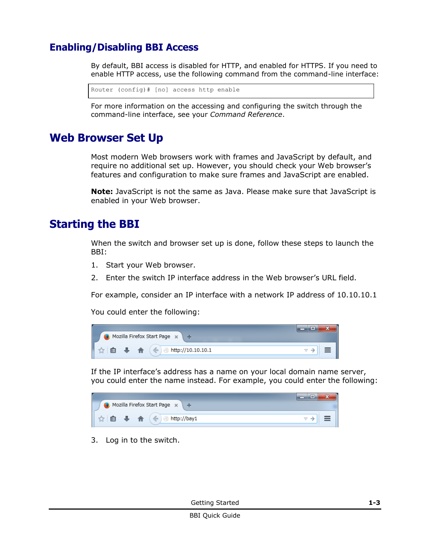#### <span id="page-10-0"></span>**Enabling/Disabling BBI Access**

By default, BBI access is disabled for HTTP, and enabled for HTTPS. If you need to enable HTTP access, use the following command from the command-line interface:

```
Router (config)# [no] access http enable
```
For more information on the accessing and configuring the switch through the command-line interface, see your *Command Reference*.

### <span id="page-10-1"></span>**Web Browser Set Up**

Most modern Web browsers work with frames and JavaScript by default, and require no additional set up. However, you should check your Web browser's features and configuration to make sure frames and JavaScript are enabled.

**Note:** JavaScript is not the same as Java. Please make sure that JavaScript is enabled in your Web browser.

## <span id="page-10-2"></span>**Starting the BBI**

When the switch and browser set up is done, follow these steps to launch the BBI:

- 1. Start your Web browser.
- 2. Enter the switch IP interface address in the Web browser's URL field.

For example, consider an IP interface with a network IP address of 10.10.10.1

You could enter the following:



If the IP interface's address has a name on your local domain name server, you could enter the name instead. For example, you could enter the following:



3. Log in to the switch.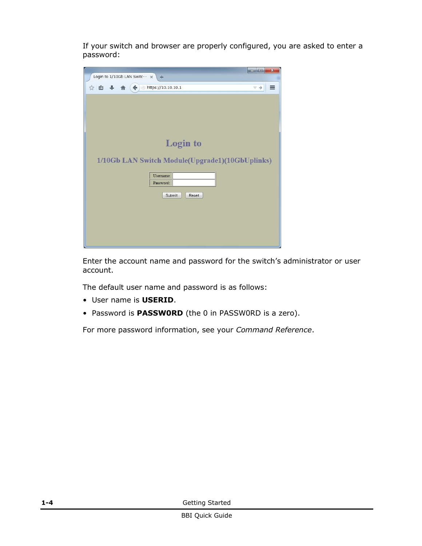If your switch and browser are properly configured, you are asked to enter a password:



Enter the account name and password for the switch's administrator or user account.

The default user name and password is as follows:

- User name is **USERID**.
- Password is **PASSW0RD** (the 0 in PASSW0RD is a zero).

For more password information, see your *Command Reference*.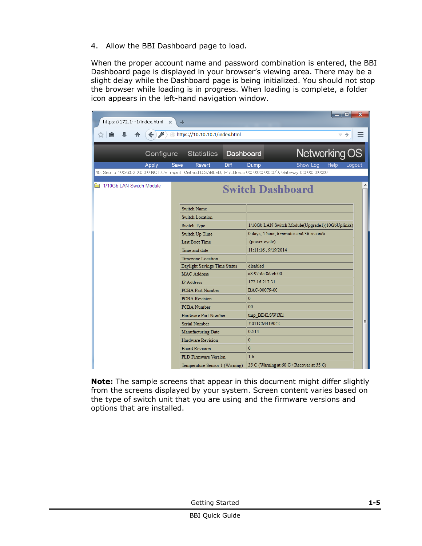4. Allow the BBI Dashboard page to load.

When the proper account name and password combination is entered, the BBI Dashboard page is displayed in your browser's viewing area. There may be a slight delay while the Dashboard page is being initialized. You should not stop the browser while loading is in progress. When loading is complete, a folder icon appears in the left-hand navigation window.

| https://172.1…1/index.html x                                                                                   | ÷                                 | ο.                                              | $\mathbf{x}$ |
|----------------------------------------------------------------------------------------------------------------|-----------------------------------|-------------------------------------------------|--------------|
|                                                                                                                | https://10.10.10.1/index.html     | ▽ →                                             | $\equiv$     |
|                                                                                                                | Dashboard<br>Configure Statistics | Networking OS                                   |              |
| Apply<br>Save                                                                                                  | Revert<br>Diff                    | Show Log<br><b>Help</b><br>Dump<br>Logout       |              |
| 45, Sep 5 10:36:52 0.0.0.0 NOTICE mgmt: Method DISABLED, IP Address 0:0:0:0:0:0:0:0:0/0, Gateway 0:0:0:0:0:0:0 |                                   |                                                 |              |
| 1/10Gb LAN Switch Module                                                                                       |                                   | <b>Switch Dashboard</b>                         |              |
|                                                                                                                | Switch Name                       |                                                 |              |
|                                                                                                                | <b>Switch Location</b>            |                                                 |              |
|                                                                                                                | Switch Type                       | 1/10Gb LAN Switch Module(Upgrade1)(10GbUplinks) |              |
|                                                                                                                | Switch Up Time                    | 0 days, 1 hour, 6 minutes and 36 seconds.       |              |
|                                                                                                                | <b>Last Boot Time</b>             | (power cycle)                                   |              |
|                                                                                                                | Time and date                     | 11:11:16, 9/19/2014                             |              |
|                                                                                                                | Timezone Location                 |                                                 |              |
|                                                                                                                | Daylight Savings Time Status      | disabled                                        |              |
|                                                                                                                | <b>MAC Address</b>                | a8:97:dc:8d:cb:00                               |              |
|                                                                                                                | <b>IP</b> Address                 | 172.16.217.31                                   |              |
|                                                                                                                | <b>PCBA Part Number</b>           | BAC-00079-00                                    |              |
|                                                                                                                | <b>PCBA</b> Revision              | $\mathbf 0$                                     |              |
|                                                                                                                | PCBA Number                       | 00                                              |              |
|                                                                                                                | Hardware Part Number              | tmp BE4LSW1X1                                   |              |
|                                                                                                                | Serial Number                     | Y011CM419052                                    | Ξ            |
|                                                                                                                | Manufacturing Date                | 02/14                                           |              |
|                                                                                                                | Hardware Revision                 | $\mathbf 0$                                     |              |
|                                                                                                                | <b>Board Revision</b>             | $\mathbf{0}$                                    |              |
|                                                                                                                | <b>PLD Firmware Version</b>       | 1.6                                             |              |
|                                                                                                                | Temperature Sensor 1 (Warning)    | 35 C (Warning at 60 C / Recover at 55 C)        |              |

**Note:** The sample screens that appear in this document might differ slightly from the screens displayed by your system. Screen content varies based on the type of switch unit that you are using and the firmware versions and options that are installed.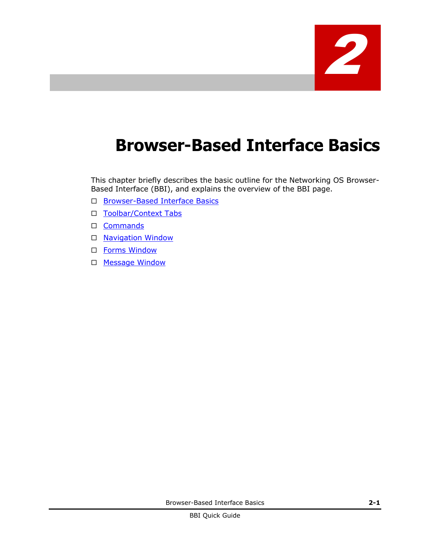## 2

## <span id="page-14-0"></span>**Browser-Based Interface Basics**

This chapter briefly describes the basic outline for the Networking OS Browser-Based Interface (BBI), and explains the overview of the BBI page.

- □ [Browser-Based Interface Basics](#page-15-0)
- □ [Toolbar/Context Tabs](#page-16-0)
- D [Commands](#page-16-1)
- □ [Navigation Window](#page-17-0)
- □ [Forms Window](#page-17-0)
- D [Message Window](#page-18-0)

Browser-Based Interface Basics **2-1**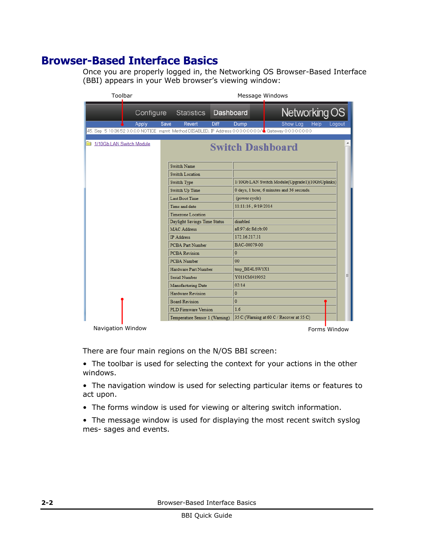## <span id="page-15-0"></span>**Browser-Based Interface Basics**

Once you are properly logged in, the Networking OS Browser-Based Interface (BBI) appears in your Web browser's viewing window:

| Toolbar                  |           |                   |                                |             |                     | Message Windows                                                                                                                       |
|--------------------------|-----------|-------------------|--------------------------------|-------------|---------------------|---------------------------------------------------------------------------------------------------------------------------------------|
|                          | Configure | <b>Statistics</b> |                                | Dashboard   |                     | Networking OS                                                                                                                         |
|                          | Apply     | Save              | Revert                         | <b>Diff</b> | Dump                | Show Log<br>Help<br>Logout                                                                                                            |
|                          |           |                   |                                |             |                     | 45. Sep   5-10:36:52 0.0.0.0 NOTICE   mgmt: Method DISABLED, IP Address 0:0:0:0:0:0:0:0:0:0 ( $\blacklozenge$ Gateway 0:0:0:0:0:0:0:0 |
| 1/10Gb LAN Switch Module |           |                   |                                |             |                     | <b>Switch Dashboard</b>                                                                                                               |
|                          |           |                   | <b>Switch Name</b>             |             |                     |                                                                                                                                       |
|                          |           |                   | <b>Switch Location</b>         |             |                     |                                                                                                                                       |
|                          |           |                   | Switch Type                    |             |                     | 1/10Gb LAN Switch Module(Upgrade1)(10GbUplinks)                                                                                       |
|                          |           |                   | Switch Up Time                 |             |                     | 0 days, 1 hour, 6 minutes and 36 seconds.                                                                                             |
|                          |           |                   | <b>Last Boot Time</b>          |             | (power cycle)       |                                                                                                                                       |
|                          |           |                   | Time and date                  |             | 11:11:16, 9/19/2014 |                                                                                                                                       |
|                          |           |                   | Timezone Location              |             |                     |                                                                                                                                       |
|                          |           |                   | Daylight Savings Time Status   |             | disabled            |                                                                                                                                       |
|                          |           |                   | <b>MAC Address</b>             |             | a8:97:dc:8d:cb:00   |                                                                                                                                       |
|                          |           |                   | <b>IP</b> Address              |             | 172.16.217.31       |                                                                                                                                       |
|                          |           |                   | <b>PCBA Part Number</b>        |             | BAC-00079-00        |                                                                                                                                       |
|                          |           |                   | <b>PCBA</b> Revision           |             | $\mathbf{0}$        |                                                                                                                                       |
|                          |           |                   | PCBA Number                    |             | 00                  |                                                                                                                                       |
|                          |           |                   | Hardware Part Number           |             | tmp BE4LSW1X1       |                                                                                                                                       |
|                          |           |                   | Serial Number                  |             | Y011CM419052        |                                                                                                                                       |
|                          |           |                   | Manufacturing Date             |             | 02/14               |                                                                                                                                       |
|                          |           |                   | Hardware Revision              |             | $\mathbf{0}$        |                                                                                                                                       |
|                          |           |                   | <b>Board Revision</b>          |             | $\mathbf 0$         |                                                                                                                                       |
|                          |           |                   | PLD Firmware Version           |             | 1.6                 |                                                                                                                                       |
|                          |           |                   | Temperature Sensor 1 (Warning) |             |                     | 35 C (Warning at 60 C / Recover at 55 C)                                                                                              |
| Navigation Window        |           |                   |                                |             |                     | Forms Window                                                                                                                          |

There are four main regions on the N/OS BBI screen:

- The toolbar is used for selecting the context for your actions in the other windows.
- The navigation window is used for selecting particular items or features to act upon.
- The forms window is used for viewing or altering switch information.
- The message window is used for displaying the most recent switch syslog mes- sages and events.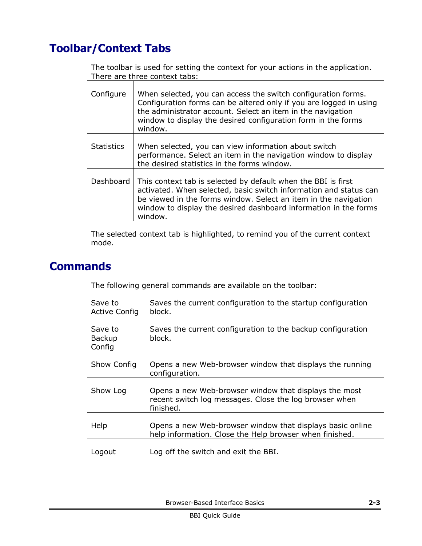## <span id="page-16-0"></span>**Toolbar/Context Tabs**

The toolbar is used for setting the context for your actions in the application. There are three context tabs:

| Configure         | When selected, you can access the switch configuration forms.<br>Configuration forms can be altered only if you are logged in using<br>the administrator account. Select an item in the navigation<br>window to display the desired configuration form in the forms<br>window.       |
|-------------------|--------------------------------------------------------------------------------------------------------------------------------------------------------------------------------------------------------------------------------------------------------------------------------------|
| <b>Statistics</b> | When selected, you can view information about switch<br>performance. Select an item in the navigation window to display<br>the desired statistics in the forms window.                                                                                                               |
| Dashboard         | This context tab is selected by default when the BBI is first<br>activated. When selected, basic switch information and status can<br>be viewed in the forms window. Select an item in the navigation<br>window to display the desired dashboard information in the forms<br>window. |

The selected context tab is highlighted, to remind you of the current context mode.

## <span id="page-16-1"></span>**Commands**

The following general commands are available on the toolbar:

| Save to<br><b>Active Config</b> | Saves the current configuration to the startup configuration<br>block.                                                       |
|---------------------------------|------------------------------------------------------------------------------------------------------------------------------|
| Save to<br>Backup<br>Config     | Saves the current configuration to the backup configuration<br>block.                                                        |
| Show Config                     | Opens a new Web-browser window that displays the running<br>configuration.                                                   |
| Show Log                        | Opens a new Web-browser window that displays the most<br>recent switch log messages. Close the log browser when<br>finished. |
| Help                            | Opens a new Web-browser window that displays basic online<br>help information. Close the Help browser when finished.         |
| Logout                          | Log off the switch and exit the BBI.                                                                                         |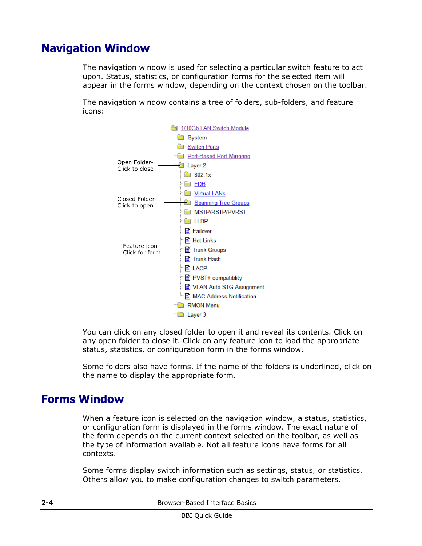## **Navigation Window**

The navigation window is used for selecting a particular switch feature to act upon. Status, statistics, or configuration forms for the selected item will appear in the forms window, depending on the context chosen on the toolbar.

The navigation window contains a tree of folders, sub-folders, and feature icons:



You can click on any closed folder to open it and reveal its contents. Click on any open folder to close it. Click on any feature icon to load the appropriate status, statistics, or configuration form in the forms window.

Some folders also have forms. If the name of the folders is underlined, click on the name to display the appropriate form.

### <span id="page-17-0"></span>**Forms Window**

When a feature icon is selected on the navigation window, a status, statistics, or configuration form is displayed in the forms window. The exact nature of the form depends on the current context selected on the toolbar, as well as the type of information available. Not all feature icons have forms for all contexts.

Some forms display switch information such as settings, status, or statistics. Others allow you to make configuration changes to switch parameters.

**2-4 Browser-Based Interface Basics Browser-Based Interface Basics**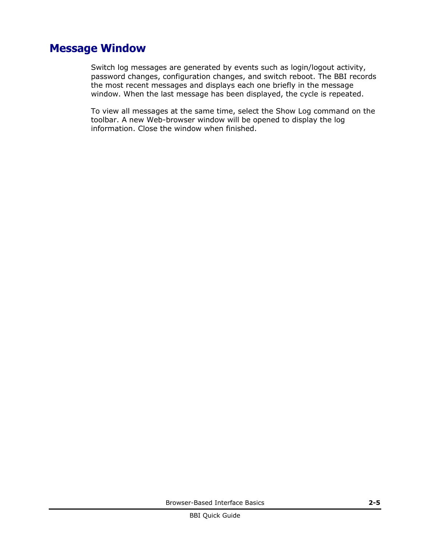## <span id="page-18-0"></span>**Message Window**

Switch log messages are generated by events such as login/logout activity, password changes, configuration changes, and switch reboot. The BBI records the most recent messages and displays each one briefly in the message window. When the last message has been displayed, the cycle is repeated.

To view all messages at the same time, select the Show Log command on the toolbar. A new Web-browser window will be opened to display the log information. Close the window when finished.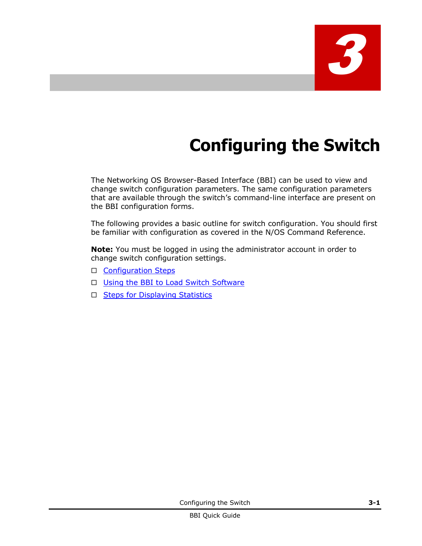

## **Configuring the Switch**

<span id="page-20-0"></span>The Networking OS Browser-Based Interface (BBI) can be used to view and change switch configuration parameters. The same configuration parameters that are available through the switch's command-line interface are present on the BBI configuration forms.

The following provides a basic outline for switch configuration. You should first be familiar with configuration as covered in the N/OS Command Reference.

**Note:** You must be logged in using the administrator account in order to change switch configuration settings.

- □ [Configuration Steps](#page-21-0)
- □ [Using the BBI to Load Switch Software](#page-23-0)
- □ [Steps for Displaying Statistics](#page-27-0)

Configuring the Switch **3-1**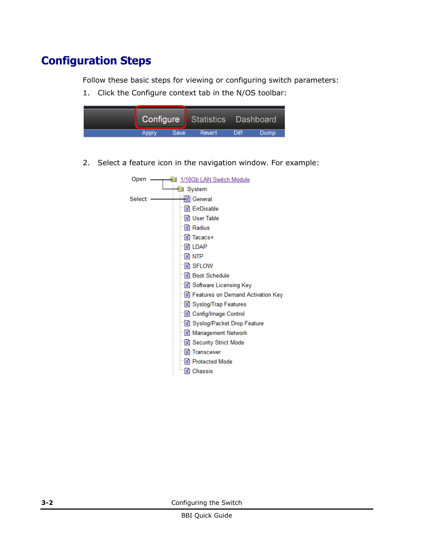## <span id="page-21-0"></span>**Configuration Steps**

Follow these basic steps for viewing or configuring switch parameters:

1. Click the Configure context tab in the N/OS toolbar:



2. Select a feature icon in the navigation window. For example:

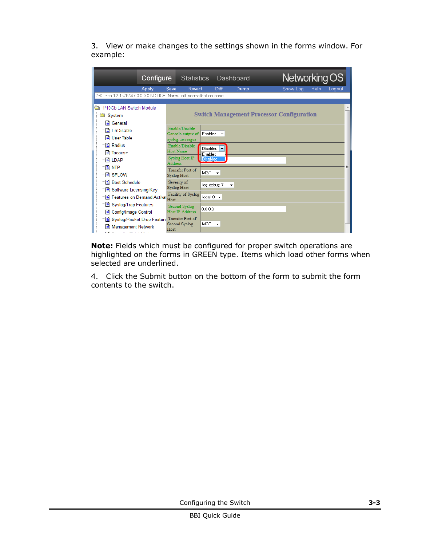3. View or make changes to the settings shown in the forms window. For example:

| Configure                                                          | <b>Statistics</b>                                                      |                                                      | Dashboard                | Networking OS                                    |  |
|--------------------------------------------------------------------|------------------------------------------------------------------------|------------------------------------------------------|--------------------------|--------------------------------------------------|--|
| Apply                                                              | Revert<br>Save                                                         | <b>Diff</b>                                          | Dump                     | Show Loa<br>Logout<br>Help                       |  |
| 230. Sep 12 15:12:47 0.0.0.0 NOTICE Norm: Init normalization done. |                                                                        |                                                      |                          |                                                  |  |
| 1/10Gb LAN Switch Module<br>System<br>General                      |                                                                        |                                                      |                          | <b>Switch Management Processor Configuration</b> |  |
| En ErrDisable<br>lai User Table                                    | Enable/Disable<br>Console output of<br>syslog messages                 | Enabled $\rightarrow$                                |                          |                                                  |  |
| Radius<br><b>■ Tacacs+</b><br><b>■ LDAP</b>                        | Enable/Disable<br>Host Name<br><b>Syslog Host IP</b><br><b>Address</b> | Disabled $\blacktriangledown$<br>Enabled<br>Disabled |                          |                                                  |  |
| । NTP<br><b>■ SFLOW</b>                                            | <b>Transfer Port of</b><br><b>Syslog Host</b>                          | $MGT \rightarrow$                                    |                          |                                                  |  |
| Boot Schedule<br>■ Software Licensing Key                          | Severity of<br><b>Syslog Host</b>                                      | log debug 7                                          | $\overline{\phantom{a}}$ |                                                  |  |
| Fil Features on Demand Actival                                     | Facility of Syslog<br>Host                                             | local $0 - 7$                                        |                          |                                                  |  |
| Syslog/Trap Features<br>Config/Image Control                       | Second Syslog<br><b>Host IP Address</b>                                | 0.0.0.0                                              |                          |                                                  |  |
| Syslog/Packet Drop Feature<br>■ Management Network                 | Transfer Port of<br>Second Syslog<br>Host                              | <b>MGT</b><br>$\overline{\phantom{a}}$               |                          |                                                  |  |

**Note:** Fields which must be configured for proper switch operations are highlighted on the forms in GREEN type. Items which load other forms when selected are underlined.

4. Click the Submit button on the bottom of the form to submit the form contents to the switch.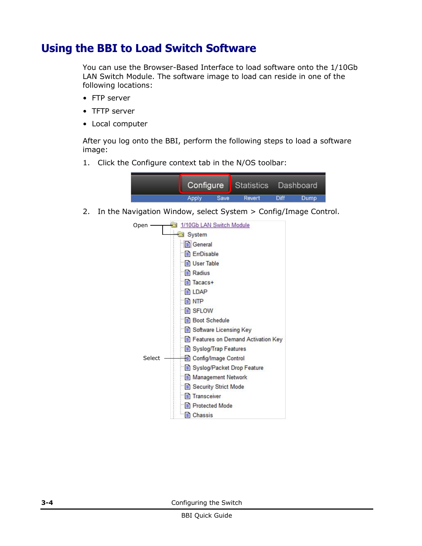## <span id="page-23-0"></span>**Using the BBI to Load Switch Software**

You can use the Browser-Based Interface to load software onto the 1/10Gb LAN Switch Module. The software image to load can reside in one of the following locations:

- FTP server
- TFTP server
- Local computer

After you log onto the BBI, perform the following steps to load a software image:

1. Click the Configure context tab in the N/OS toolbar:



2. In the Navigation Window, select System > Config/Image Control.

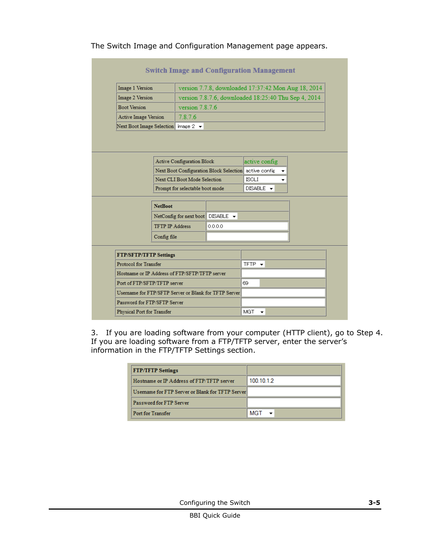#### The Switch Image and Configuration Management page appears.

| <b>Switch Image and Configuration Management</b>      |                        |                              |                                                     |                                                      |  |  |
|-------------------------------------------------------|------------------------|------------------------------|-----------------------------------------------------|------------------------------------------------------|--|--|
| Image 1 Version                                       |                        |                              | version 7.7.8, downloaded 17:37:42 Mon Aug 18, 2014 |                                                      |  |  |
| Image 2 Version                                       |                        |                              |                                                     | version 7.8.7.6, downloaded 18:25:40 Thu Sep 4, 2014 |  |  |
| <b>Boot Version</b>                                   |                        | version $7.8.7.6$            |                                                     |                                                      |  |  |
| Active Image Version                                  |                        | 7.8.7.6                      |                                                     |                                                      |  |  |
| Next Boot Image Selection $\vert$ image 2 $\star$     |                        |                              |                                                     |                                                      |  |  |
|                                                       |                        |                              |                                                     |                                                      |  |  |
|                                                       |                        | Active Configuration Block   |                                                     | active config                                        |  |  |
|                                                       |                        |                              | Next Boot Configuration Block Selection             | active config                                        |  |  |
|                                                       |                        | Next CLI Boot Mode Selection |                                                     | ISCL I                                               |  |  |
| Prompt for selectable boot mode                       |                        |                              |                                                     | DISABLE -                                            |  |  |
|                                                       | <b>NetBoot</b>         |                              |                                                     |                                                      |  |  |
|                                                       |                        | NetConfig for next boot      | DISABLE -                                           |                                                      |  |  |
|                                                       | <b>TFTP IP Address</b> |                              | 0.0.0.0                                             |                                                      |  |  |
|                                                       | Config file            |                              |                                                     |                                                      |  |  |
| <b>FTP/SFTP/TFTP Settings</b>                         |                        |                              |                                                     |                                                      |  |  |
| Protocol for Transfer                                 |                        |                              | TFTP $\div$                                         |                                                      |  |  |
| Hostname or IP Address of FTP/SFTP/TFTP server        |                        |                              |                                                     |                                                      |  |  |
| Port of FTP/SFTP/TFTP server                          |                        |                              |                                                     | 69                                                   |  |  |
| Username for FTP/SFTP Server or Blank for TFTP Server |                        |                              |                                                     |                                                      |  |  |
| Password for FTP/SFTP Server                          |                        |                              |                                                     |                                                      |  |  |
| Physical Port for Transfer                            |                        |                              |                                                     | <b>MGT</b><br>۰                                      |  |  |

3. If you are loading software from your computer (HTTP client), go to Step 4. If you are loading software from a FTP/TFTP server, enter the server's information in the FTP/TFTP Settings section.

| <b>FTP/TFTP Settings</b>                        |            |
|-------------------------------------------------|------------|
| Hostname or IP Address of FTP/TFTP server       | 100.10.1.2 |
| Usemame for FTP Server or Blank for TFTP Server |            |
| Password for FTP Server                         |            |
| Port for Transfer                               | MGT        |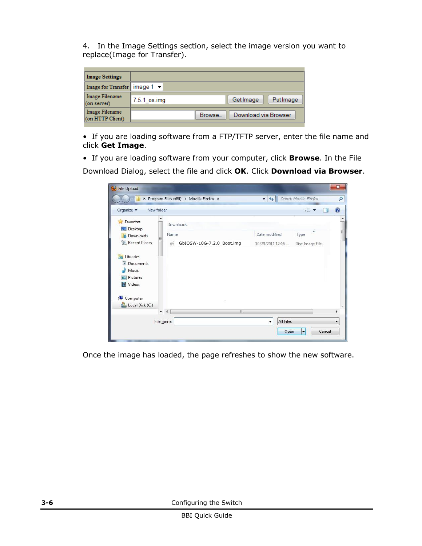4. In the Image Settings section, select the image version you want to replace(Image for Transfer).

| <b>Image Settings</b>               |                                 |  |  |           |           |  |
|-------------------------------------|---------------------------------|--|--|-----------|-----------|--|
| Image for Transfer   image 1 -      |                                 |  |  |           |           |  |
| Image Filename<br>$($ on server $)$ | $7.5.1$ os.img                  |  |  | Get Image | Put Image |  |
| Image Filename<br>(on HTTP Client)  | Download via Browser<br>Browse. |  |  |           |           |  |

• If you are loading software from a FTP/TFTP server, enter the file name and click **Get Image**.

• If you are loading software from your computer, click **Browse**. In the File

Download Dialog, select the file and click **OK**. Click **Download via Browser**.

|                                  |                               | « Program Files (x86) > Mozilla Firefox > | $4 +$            | Search Mozilla Firefox | ٩ |
|----------------------------------|-------------------------------|-------------------------------------------|------------------|------------------------|---|
| Organize v                       | New folder                    |                                           |                  | <b>IE</b>              |   |
| Favorites<br>Desktop             |                               | Downloads                                 |                  |                        |   |
| Downloads<br>un.                 | Name                          |                                           | Date modified    | Type                   |   |
| <b>Recent Places</b>             | Ë<br>$\Theta$                 | GbIOSW-10G-7.2.0_Boot.img                 | 10/29/2011 12:06 | Disc Image File        |   |
| Libraries<br>Documents<br>E.     |                               |                                           |                  |                        |   |
| Music<br>Pictures<br>Videos<br>Ħ |                               |                                           |                  |                        |   |
| Computer                         |                               | Ħ                                         |                  |                        |   |
| Local Disk (C:)                  | $\overline{\phantom{m}}$<br>× | $\mathbf{H}$                              |                  |                        |   |

Once the image has loaded, the page refreshes to show the new software.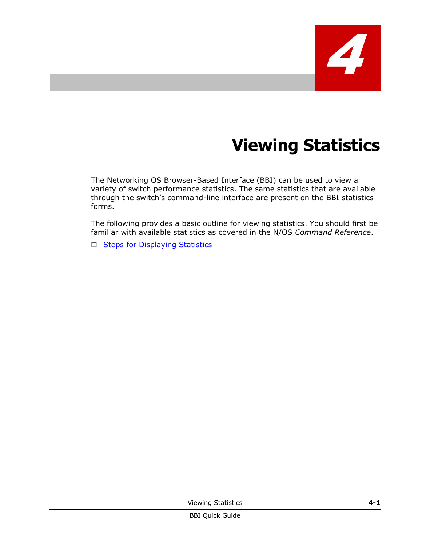# 4

## **Viewing Statistics**

<span id="page-26-0"></span>The Networking OS Browser-Based Interface (BBI) can be used to view a variety of switch performance statistics. The same statistics that are available through the switch's command-line interface are present on the BBI statistics forms.

The following provides a basic outline for viewing statistics. You should first be familiar with available statistics as covered in the N/OS *Command Reference*.

□ [Steps for Displaying Statistics](#page-27-0)

Viewing Statistics **4-1**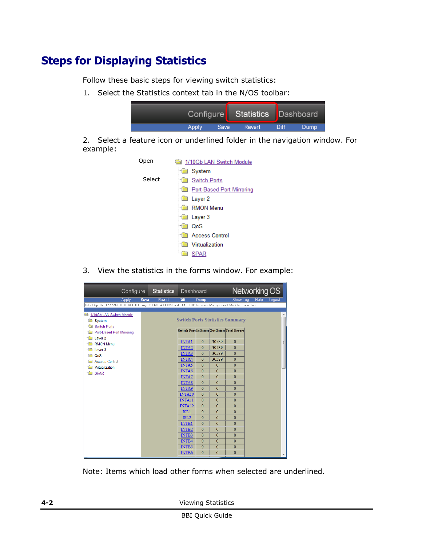## <span id="page-27-0"></span>**Steps for Displaying Statistics**

Follow these basic steps for viewing switch statistics:

1. Select the Statistics context tab in the N/OS toolbar:



2. Select a feature icon or underlined folder in the navigation window. For example:



3. View the statistics in the forms window. For example:

|                                                                                                                       | Configure     |               | Statistics Dashboard  |                          | Networking OS            |                                                                                              |      |          |
|-----------------------------------------------------------------------------------------------------------------------|---------------|---------------|-----------------------|--------------------------|--------------------------|----------------------------------------------------------------------------------------------|------|----------|
|                                                                                                                       | Apply<br>Save | <b>Revert</b> | <b>Diff</b>           | Dump                     |                          | Show Log                                                                                     | Help | Logout   |
| 396. Sep 16 14:22:24 0.0.0.0 NOTICE mgmt: CME A DOWN and CME B UP because Management Module 1 is active               |               |               |                       |                          |                          |                                                                                              |      |          |
| 1/10Gb LAN Switch Module<br>System<br>$\Box$<br>Switch Ports<br><b>Port-Based Port Mirroring</b><br>$\Box$<br>Layer 2 |               |               |                       |                          |                          | <b>Switch Ports Statistics Summary</b><br><b>Switch Port InOctets OutOctets Total Errors</b> |      | ▲        |
| <b>RMON Menu</b>                                                                                                      |               |               | <b>INTA1</b>          | $\mathbf{0}$             | 30589                    | $\Omega$                                                                                     |      | $\equiv$ |
| Layer 3                                                                                                               |               |               | <b>INTA2</b>          | $\mathbf{0}$             | 30589                    | $\Omega$                                                                                     |      |          |
| QoS                                                                                                                   |               |               | <b>INTA3</b>          | $\mathbf{0}$             | 30589                    | $\Omega$                                                                                     |      |          |
| <b>Access Control</b>                                                                                                 |               |               | INTA4                 | $\Omega$                 | 30589                    | $\Omega$                                                                                     |      |          |
| Virtualization                                                                                                        |               |               | <b>INTA5</b>          | $\mathbf{0}$<br>$\Omega$ | $\mathbf{0}$<br>$\Omega$ | $\mathbf{0}$<br>$\Omega$                                                                     |      |          |
| <b>SPAR</b>                                                                                                           |               |               | INTA6                 | $\mathbf{0}$             | $\mathbf{0}$             | $\mathbf{0}$                                                                                 |      |          |
|                                                                                                                       |               |               | INTA7<br><b>INTA8</b> | $\mathbf{0}$             | $\Omega$                 | $\Omega$                                                                                     |      |          |
|                                                                                                                       |               |               | INTA9                 | $\mathbf{0}$             | $\mathbf{0}$             | $\mathbf{0}$                                                                                 |      |          |
|                                                                                                                       |               |               | INTA10                | $\mathbf{0}$             | $\Omega$                 | $\Omega$                                                                                     |      |          |
|                                                                                                                       |               |               | INTA11                | $\Omega$                 | $\mathbf{0}$             | $\Omega$                                                                                     |      |          |
|                                                                                                                       |               |               | INTA12                | $\Omega$                 | $\Omega$                 | $\Omega$                                                                                     |      |          |
|                                                                                                                       |               |               | ISL1                  | $\mathbf{0}$             | $\Omega$                 | $\mathbf{0}$                                                                                 |      |          |
|                                                                                                                       |               |               | ISL <sub>2</sub>      | $\mathbf{0}$             | $\Omega$                 | $\Omega$                                                                                     |      |          |
|                                                                                                                       |               |               | <b>INTB1</b>          | $\mathbf{0}$             | $\Omega$                 | $\mathbf{0}$                                                                                 |      |          |
|                                                                                                                       |               |               | INTB <sub>2</sub>     | $\mathbf{0}$             | $\mathbf{0}$             | $\Omega$                                                                                     |      |          |
|                                                                                                                       |               |               | INTB3                 | $\mathbf{0}$             | $\Omega$                 | $\Omega$                                                                                     |      |          |
|                                                                                                                       |               |               | INTB4                 | $\mathbf{0}$             | $\mathbf{0}$             | $\mathbf{0}$                                                                                 |      |          |
|                                                                                                                       |               |               | INTB5                 | $\mathbf{0}$             | $\Omega$                 | $\Omega$                                                                                     |      |          |
|                                                                                                                       |               |               | INTB6                 | $\mathbf{0}$             | $\mathbf{0}$             | $\mathbf{0}$                                                                                 |      |          |

Note: Items which load other forms when selected are underlined.

**4-2** Viewing Statistics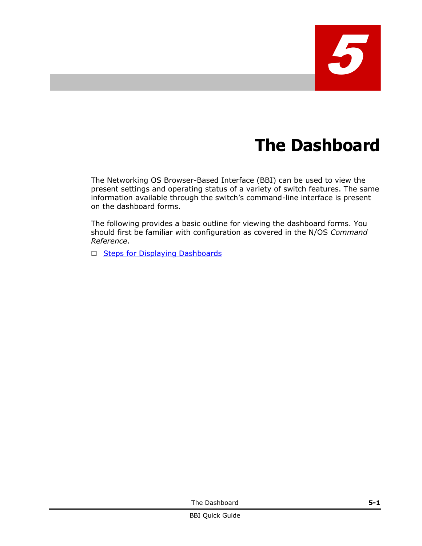# 5

## **The Dashboard**

<span id="page-28-0"></span>The Networking OS Browser-Based Interface (BBI) can be used to view the present settings and operating status of a variety of switch features. The same information available through the switch's command-line interface is present on the dashboard forms.

The following provides a basic outline for viewing the dashboard forms. You should first be familiar with configuration as covered in the N/OS *Command Reference*.

□ [Steps for Displaying Dashboards](#page-29-0)

The Dashboard **5-1**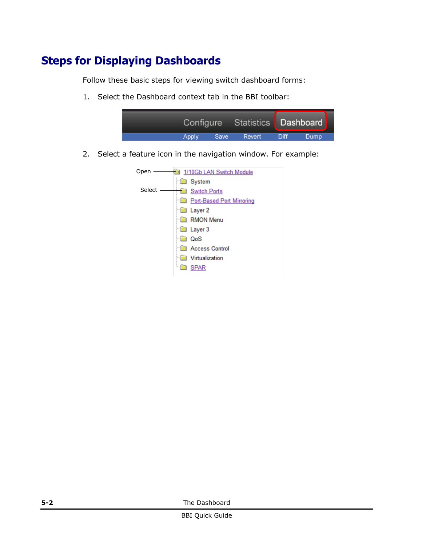## <span id="page-29-0"></span>**Steps for Displaying Dashboards**

Follow these basic steps for viewing switch dashboard forms:

1. Select the Dashboard context tab in the BBI toolbar:



2. Select a feature icon in the navigation window. For example:



**5-2** The Dashboard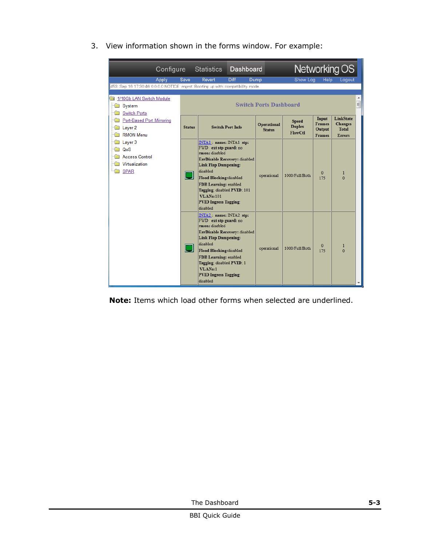3. View information shown in the forms window. For example:

| Configure                                                                              |                               | <b>Dashboard</b><br><b>Statistics</b>                                                                                                                                                                                                                                                             |                         |                                     | Networking OS                            |                                                          |                                                              |       |
|----------------------------------------------------------------------------------------|-------------------------------|---------------------------------------------------------------------------------------------------------------------------------------------------------------------------------------------------------------------------------------------------------------------------------------------------|-------------------------|-------------------------------------|------------------------------------------|----------------------------------------------------------|--------------------------------------------------------------|-------|
| Apply<br>453. Sep 16 17:30:46 0.0.0.0 NOTICE mgmt: Booting up with compatibility mode. | Save                          | Revert                                                                                                                                                                                                                                                                                            | <b>Diff</b><br>Dump     |                                     | Show Log                                 | Help                                                     | Logout                                                       |       |
| 1/10Gb LAN Switch Module<br>System<br><b>Switch Ports</b>                              | <b>Switch Ports Dashboard</b> |                                                                                                                                                                                                                                                                                                   |                         |                                     |                                          |                                                          |                                                              | $\Xi$ |
| <b>Port-Based Port Mirroring</b><br>Layer 2<br><b>RMON Menu</b>                        | <b>Status</b>                 |                                                                                                                                                                                                                                                                                                   | <b>Switch Port Info</b> | <b>Operational</b><br><b>Status</b> | <b>Speed</b><br><b>Duplex</b><br>FlowCtl | Input<br><b>Frames</b><br><b>Output</b><br><b>Frames</b> | LinkState<br><b>Changes</b><br><b>Total</b><br><b>Errors</b> |       |
| Layer 3<br>QoS<br><b>Access Control</b><br>Virtualization<br><b>SPAR</b>               |                               | INTA1: name: INTA1 stp:<br>FWD ext stp guard: no<br>rmon: disabled<br>ErrDisable Recovery: disabled<br><b>Link Flap Dampening:</b><br>disabled<br>Flood Blocking:disabled<br>FDB Learning: enabled<br>Tagging: disabled PVID: 101<br><b>VLANs:101</b><br><b>PVID Ingress Tagging:</b><br>disabled |                         | operational                         | 1000/Full/Both                           | $\mathbf{0}$<br>175                                      | 1<br>$\mathbf{0}$                                            |       |
|                                                                                        |                               | INTA2: name: INTA2 stp:<br>FWD ext stp guard: no<br>rmon: disabled<br>ErrDisable Recovery: disabled<br><b>Link Flap Dampening:</b><br>disabled<br>Flood Blocking:disabled<br>FDB Learning: enabled<br>Tagging: disabled PVID: 1<br>VLANs:1<br><b>PVID Ingress Tagging:</b><br>disabled            |                         | operational                         | 1000/Full/Both                           | $\Omega$<br>175                                          | $\mathbf{1}$<br>$\Omega$                                     |       |

**Note:** Items which load other forms when selected are underlined.